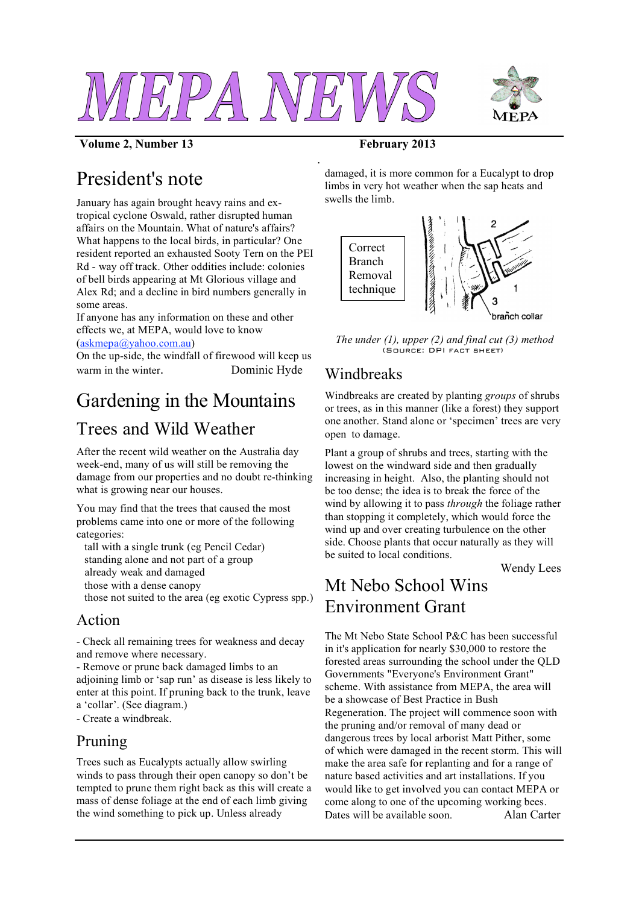

*.*



#### **Volume 2, Number 13 February 2013**

# President's note

January has again brought heavy rains and extropical cyclone Oswald, rather disrupted human affairs on the Mountain. What of nature's affairs? What happens to the local birds, in particular? One resident reported an exhausted Sooty Tern on the PEI Rd - way off track. Other oddities include: colonies of bell birds appearing at Mt Glorious village and Alex Rd; and a decline in bird numbers generally in some areas.

If anyone has any information on these and other effects we, at MEPA, would love to know (askmepa@yahoo.com.au)

On the up-side, the windfall of firewood will keep us warm in the winter. Dominic Hyde

# Gardening in the Mountains

## Trees and Wild Weather

After the recent wild weather on the Australia day week-end, many of us will still be removing the damage from our properties and no doubt re-thinking what is growing near our houses.

You may find that the trees that caused the most problems came into one or more of the following categories:

tall with a single trunk (eg Pencil Cedar) standing alone and not part of a group already weak and damaged those with a dense canopy those not suited to the area (eg exotic Cypress spp.)

### Action

- Check all remaining trees for weakness and decay and remove where necessary.

- Remove or prune back damaged limbs to an adjoining limb or 'sap run' as disease is less likely to enter at this point. If pruning back to the trunk, leave a 'collar'. (See diagram.)

- Create a windbreak.

### Pruning

Trees such as Eucalypts actually allow swirling winds to pass through their open canopy so don't be tempted to prune them right back as this will create a mass of dense foliage at the end of each limb giving the wind something to pick up. Unless already

damaged, it is more common for a Eucalypt to drop limbs in very hot weather when the sap heats and swells the limb.



*The under (1), upper (2) and final cut (3) method*  $($ Source: DPI fact sheet)

### Windbreaks

Windbreaks are created by planting *groups* of shrubs or trees, as in this manner (like a forest) they support one another. Stand alone or 'specimen' trees are very open to damage.

Plant a group of shrubs and trees, starting with the lowest on the windward side and then gradually increasing in height. Also, the planting should not be too dense; the idea is to break the force of the wind by allowing it to pass *through* the foliage rather than stopping it completely, which would force the wind up and over creating turbulence on the other side. Choose plants that occur naturally as they will be suited to local conditions.

Wendy Lees

# Mt Nebo School Wins Environment Grant

The Mt Nebo State School P&C has been successful in it's application for nearly \$30,000 to restore the forested areas surrounding the school under the QLD Governments "Everyone's Environment Grant" scheme. With assistance from MEPA, the area will be a showcase of Best Practice in Bush Regeneration. The project will commence soon with the pruning and/or removal of many dead or dangerous trees by local arborist Matt Pither, some of which were damaged in the recent storm. This will make the area safe for replanting and for a range of nature based activities and art installations. If you would like to get involved you can contact MEPA or come along to one of the upcoming working bees. Dates will be available soon Alan Carter